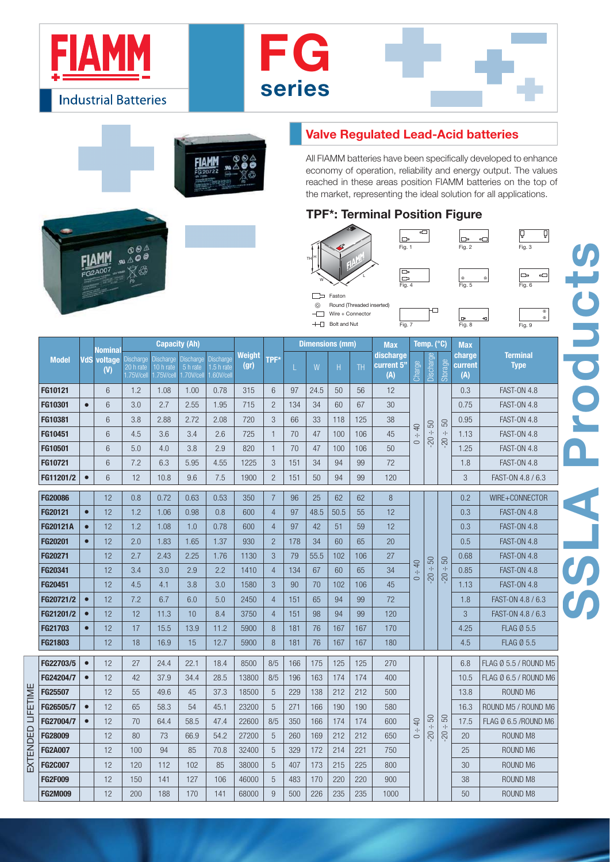

 $\overset{\circ}{\mathbb{A}}\overset{\circ}{\circ}\overset{\mathbb{A}}{\circ}$ 

'B

**FIAMM** 

 $\frac{1}{20007}$ 





## **Valve Regulated Lead-Acid batteries**

All FIAMM batteries have been specifically developed to enhance economy of operation, reliability and energy output. The values reached in these areas position FIAMM batteries on the top of the market, representing the ideal solution for all applications.

## **TPF\*: Terminal Position Figure**

b





V

 $\circ$ 

| <b>Model</b>    | VdS       | Nominal<br>voltage<br>(V) |                                           |                                             |                                            | <b>Dimensions (mm)</b>                     |                       |                | <b>Max</b> |      | Temp. (°C) |                | <b>Max</b>                     |                             |                                       |                     |                          |                                |  |
|-----------------|-----------|---------------------------|-------------------------------------------|---------------------------------------------|--------------------------------------------|--------------------------------------------|-----------------------|----------------|------------|------|------------|----------------|--------------------------------|-----------------------------|---------------------------------------|---------------------|--------------------------|--------------------------------|--|
|                 |           |                           | <b>Discharge</b><br>20 h rate<br>.75Wcell | <b>Discharge</b><br>10 h rate<br>1.75V/cell | <b>Discharge</b><br>5 h rate<br>1.70V/cell | <b>Discharge</b><br>1.5 h rate<br>.60Wcell | <b>Weight</b><br>(qr) | TPF*           | L          | W    | H          | TH <sub></sub> | discharge<br>current 5"<br>(A) | Charge                      | Discharge                             | Storage             | charge<br>current<br>(A) | <b>Terminal</b><br><b>Type</b> |  |
| FG10121         |           | 6                         | 1.2                                       | 1.08                                        | 1.00                                       | 0.78                                       | 315                   | 6              | 97         | 24.5 | 50         | 56             | 12                             |                             |                                       |                     | 0.3                      | <b>FAST-ON 4.8</b>             |  |
| FG10301         | $\bullet$ | 6                         | 3.0                                       | 2.7                                         | 2.55                                       | 1.95                                       | 715                   | $\overline{2}$ | 134        | 34   | 60         | 67             | 30                             |                             |                                       |                     | 0.75                     | <b>FAST-ON 4.8</b>             |  |
| FG10381         |           | 6                         | 3.8                                       | 2.88                                        | 2.72                                       | 2.08                                       | 720                   | 3              | 66         | 33   | 118        | 125            | 38                             | $\overline{a}$              | 50                                    | 50                  | 0.95                     | <b>FAST-ON 4.8</b>             |  |
| FG10451         |           | 6                         | 4.5                                       | 3.6                                         | 3.4                                        | 2.6                                        | 725                   | $\mathbf{1}$   | 70         | 47   | 100        | 106            | 45                             | $\cdot  $<br>$\circ$        | $\cdot \cdot$<br>$\overline{5}$       | $\cdot \cdot$       | 1.13                     | <b>FAST-ON 4.8</b>             |  |
| FG10501         |           | 6                         | 5.0                                       | 4.0                                         | 3.8                                        | 2.9                                        | 820                   | $\mathbf{1}$   | 70         | 47   | 100        | 106            | 50                             |                             |                                       | $02-$               | 1.25                     | <b>FAST-ON 4.8</b>             |  |
| FG10721         |           | 6                         | 7.2                                       | 6.3                                         | 5.95                                       | 4.55                                       | 1225                  | 3              | 151        | 34   | 94         | 99             | 72                             |                             |                                       |                     | 1.8                      | <b>FAST-ON 4.8</b>             |  |
| FG11201/2       | $\bullet$ | 6                         | 12                                        | 10.8                                        | 9.6                                        | 7.5                                        | 1900                  | $\overline{c}$ | 151        | 50   | 94         | 99             | 120                            |                             |                                       |                     | 3                        | FAST-ON 4.8 / 6.3              |  |
| <b>FG20086</b>  |           | 12                        | 0.8                                       | 0.72                                        | 0.63                                       | 0.53                                       | 350                   | $\overline{7}$ | 96         | 25   | 62         | 62             | 8                              |                             |                                       |                     | 0.2                      | WIRE+CONNECTOR                 |  |
| FG20121         | $\bullet$ | 12                        | 1.2                                       | 1.06                                        | 0.98                                       | 0.8                                        | 600                   | $\overline{4}$ | 97         | 48.5 | 50.5       | 55             | 12                             |                             |                                       |                     | 0.3                      | <b>FAST-ON 4.8</b>             |  |
| <b>FG20121A</b> | $\bullet$ | 12                        | 1.2                                       | 1.08                                        | 1.0                                        | 0.78                                       | 600                   | $\overline{4}$ | 97         | 42   | 51         | 59             | 12                             |                             |                                       |                     | 0.3                      | <b>FAST-ON 4.8</b>             |  |
| FG20201         | $\bullet$ | 12                        | 2.0                                       | 1.83                                        | 1.65                                       | 1.37                                       | 930                   | $\overline{2}$ | 178        | 34   | 60         | 65             | 20                             |                             |                                       |                     | 0.5                      | <b>FAST-ON 4.8</b>             |  |
| FG20271         |           | 12                        | 2.7                                       | 2.43                                        | 2.25                                       | 1.76                                       | 1130                  | 3              | 79         | 55.5 | 102        | 106            | 27                             |                             | 50                                    | 50                  | 0.68                     | <b>FAST-ON 4.8</b>             |  |
| FG20341         |           | 12                        | 3.4                                       | 3.0                                         | 2.9                                        | 2.2                                        | 1410                  | $\overline{4}$ | 134        | 67   | 60         | 65             | 34                             | $\overline{a}$<br>$\cdot  $ | $\cdot \cdot$<br>$-20$ .              | $-20 -$             | 0.85                     | <b>FAST-ON 4.8</b>             |  |
| FG20451         |           | 12                        | 4.5                                       | 4.1                                         | 3.8                                        | 3.0                                        | 1580                  | 3              | 90         | 70   | 102        | 106            | 45                             | $\circ$                     |                                       |                     | 1.13                     | <b>FAST-ON 4.8</b>             |  |
| FG20721/2       | $\bullet$ | 12                        | 7.2                                       | 6.7                                         | 6.0                                        | 5.0                                        | 2450                  | $\overline{4}$ | 151        | 65   | 94         | 99             | 72                             |                             |                                       |                     | 1.8                      | FAST-ON 4.8 / 6.3              |  |
| FG21201/2       | $\bullet$ | 12                        | 12                                        | 11.3                                        | 10                                         | 8.4                                        | 3750                  | $\overline{4}$ | 151        | 98   | 94         | 99             | 120                            |                             |                                       |                     | 3                        | FAST-ON 4.8 / 6.3              |  |
| FG21703         | $\bullet$ | 12                        | 17                                        | 15.5                                        | 13.9                                       | 11.2                                       | 5900                  | 8              | 181        | 76   | 167        | 167            | 170                            |                             |                                       |                     | 4.25                     | <b>FLAG Ø 5.5</b>              |  |
| FG21803         |           | 12                        | 18                                        | 16.9                                        | 15                                         | 12.7                                       | 5900                  | 8              | 181        | 76   | 167        | 167            | 180                            |                             |                                       |                     | 4.5                      | <b>FLAG Ø 5.5</b>              |  |
| FG22703/5       | $\bullet$ | 12                        | 27                                        | 24.4                                        | 22.1                                       | 18.4                                       | 8500                  | 8/5            | 166        | 175  | 125        | 125            | 270                            |                             |                                       |                     | 6.8                      | FLAG Ø 5.5 / ROUND M5          |  |
| FG24204/7       | $\bullet$ | 12                        | 42                                        | 37.9                                        | 34.4                                       | 28.5                                       | 13800                 | 8/5            | 196        | 163  | 174        | 174            | 400                            |                             |                                       |                     | 10.5                     | FLAG Ø 6.5 / ROUND M6          |  |
| FG25507         |           | 12                        | 55                                        | 49.6                                        | 45                                         | 37.3                                       | 18500                 | 5              | 229        | 138  | 212        | 212            | 500                            |                             |                                       |                     | 13.8                     | ROUND M6                       |  |
| FG26505/7       | $\bullet$ | 12                        | 65                                        | 58.3                                        | 54                                         | 45.1                                       | 23200                 | 5              | 271        | 166  | 190        | 190            | 580                            |                             |                                       |                     | 16.3                     | ROUND M5 / ROUND M6            |  |
| FG27004/7       | $\bullet$ | 12                        | 70                                        | 64.4                                        | 58.5                                       | 47.4                                       | 22600                 | 8/5            | 350        | 166  | 174        | 174            | 600                            | $\overline{4}$              | 50<br>$\cdot \cdot$<br>$\overline{5}$ | 50<br>$\cdot \cdot$ | 17.5                     | FLAG Ø 6.5 /ROUND M6           |  |
| FG28009         |           | 12                        | 80                                        | 73                                          | 66.9                                       | 54.2                                       | 27200                 | 5              | 260        | 169  | 212        | 212            | 650                            | $\cdot \cdot$<br>$\circ$    |                                       | $\overline{5}$      | 20                       | ROUND M8                       |  |
| <b>FG2A007</b>  |           | 12                        | 100                                       | 94                                          | 85                                         | 70.8                                       | 32400                 | 5              | 329        | 172  | 214        | 221            | 750                            |                             |                                       |                     | 25                       | ROUND M6                       |  |
| <b>FG2C007</b>  |           | 12                        | 120                                       | 112                                         | 102                                        | 85                                         | 38000                 | 5              | 407        | 173  | 215        | 225            | 800                            |                             |                                       |                     | 30                       | ROUND M6                       |  |
| <b>FG2F009</b>  |           | 12                        | 150                                       | 141                                         | 127                                        | 106                                        | 46000                 | 5              | 483        | 170  | 220        | 220            | 900                            |                             |                                       |                     | 38                       | ROUND M8                       |  |
| <b>FG2M009</b>  |           | 12                        | 200                                       | 188                                         | 170                                        | 141                                        | 68000                 | 9              | 500        | 226  | 235        | 235            | 1000                           |                             |                                       |                     | 50                       | ROUND M8                       |  |